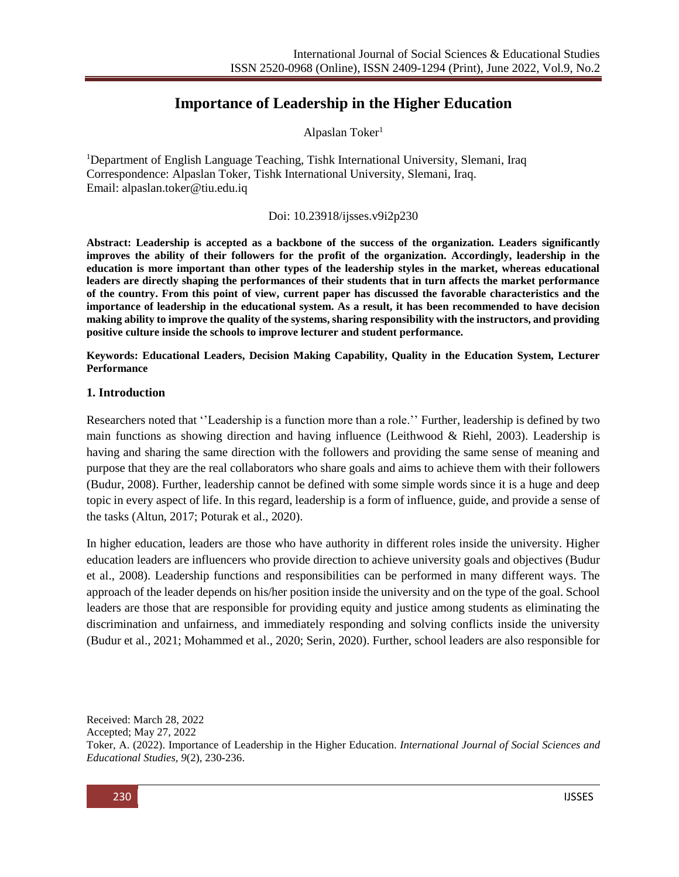# **Importance of Leadership in the Higher Education**

Alpaslan Toker<sup>1</sup>

<sup>1</sup>Department of English Language Teaching, Tishk International University, Slemani, Iraq Correspondence: Alpaslan Toker, Tishk International University, Slemani, Iraq. Email: [alpaslan.toker@tiu.edu.iq](mailto:alpaslan.toker@tiu.edu.iq)

### Doi: 10.23918/ijsses.v9i2p230

**Abstract: Leadership is accepted as a backbone of the success of the organization. Leaders significantly improves the ability of their followers for the profit of the organization. Accordingly, leadership in the education is more important than other types of the leadership styles in the market, whereas educational leaders are directly shaping the performances of their students that in turn affects the market performance of the country. From this point of view, current paper has discussed the favorable characteristics and the importance of leadership in the educational system. As a result, it has been recommended to have decision making ability to improve the quality of the systems, sharing responsibility with the instructors, and providing positive culture inside the schools to improve lecturer and student performance.**

**Keywords: Educational Leaders, Decision Making Capability, Quality in the Education System, Lecturer Performance**

#### **1. Introduction**

Researchers noted that ''Leadership is a function more than a role.'' Further, leadership is defined by two main functions as showing direction and having influence (Leithwood & Riehl, 2003). Leadership is having and sharing the same direction with the followers and providing the same sense of meaning and purpose that they are the real collaborators who share goals and aims to achieve them with their followers (Budur, 2008). Further, leadership cannot be defined with some simple words since it is a huge and deep topic in every aspect of life. In this regard, leadership is a form of influence, guide, and provide a sense of the tasks (Altun, 2017; Poturak et al., 2020).

In higher education, leaders are those who have authority in different roles inside the university. Higher education leaders are influencers who provide direction to achieve university goals and objectives (Budur et al., 2008). Leadership functions and responsibilities can be performed in many different ways. The approach of the leader depends on his/her position inside the university and on the type of the goal. School leaders are those that are responsible for providing equity and justice among students as eliminating the discrimination and unfairness, and immediately responding and solving conflicts inside the university (Budur et al., 2021; Mohammed et al., 2020; Serin, 2020). Further, school leaders are also responsible for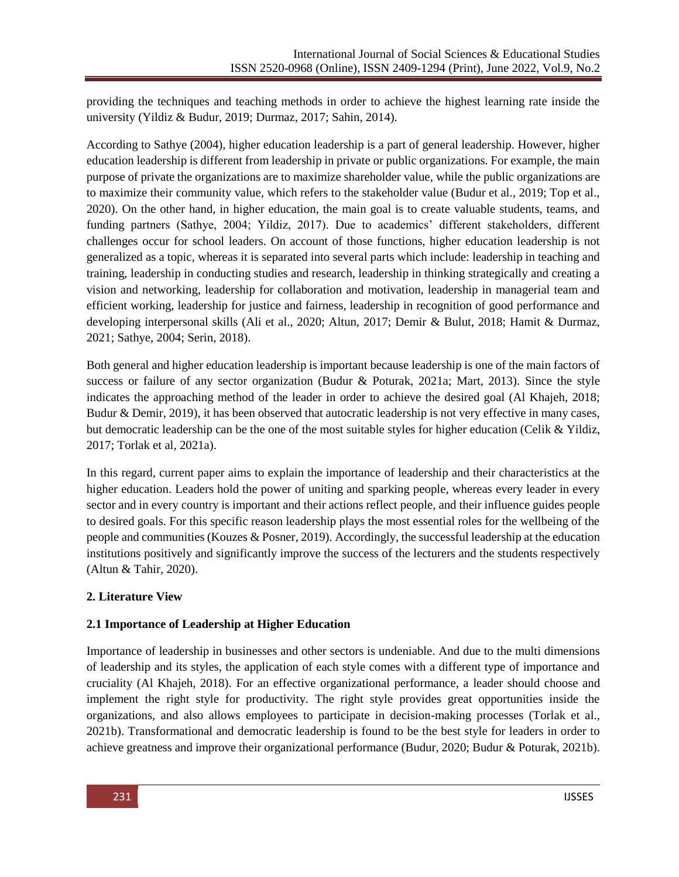providing the techniques and teaching methods in order to achieve the highest learning rate inside the university (Yildiz & Budur, 2019; Durmaz, 2017; Sahin, 2014).

According to Sathye (2004), higher education leadership is a part of general leadership. However, higher education leadership is different from leadership in private or public organizations. For example, the main purpose of private the organizations are to maximize shareholder value, while the public organizations are to maximize their community value, which refers to the stakeholder value (Budur et al., 2019; Top et al., 2020). On the other hand, in higher education, the main goal is to create valuable students, teams, and funding partners (Sathye, 2004; Yildiz, 2017). Due to academics' different stakeholders, different challenges occur for school leaders. On account of those functions, higher education leadership is not generalized as a topic, whereas it is separated into several parts which include: leadership in teaching and training, leadership in conducting studies and research, leadership in thinking strategically and creating a vision and networking, leadership for collaboration and motivation, leadership in managerial team and efficient working, leadership for justice and fairness, leadership in recognition of good performance and developing interpersonal skills (Ali et al., 2020; Altun, 2017; Demir & Bulut, 2018; Hamit & Durmaz, 2021; Sathye, 2004; Serin, 2018).

Both general and higher education leadership is important because leadership is one of the main factors of success or failure of any sector organization (Budur & Poturak, 2021a; Mart, 2013). Since the style indicates the approaching method of the leader in order to achieve the desired goal (Al Khajeh, 2018; Budur & Demir, 2019), it has been observed that autocratic leadership is not very effective in many cases, but democratic leadership can be the one of the most suitable styles for higher education (Celik & Yildiz, 2017; Torlak et al, 2021a).

In this regard, current paper aims to explain the importance of leadership and their characteristics at the higher education. Leaders hold the power of uniting and sparking people, whereas every leader in every sector and in every country is important and their actions reflect people, and their influence guides people to desired goals. For this specific reason leadership plays the most essential roles for the wellbeing of the people and communities (Kouzes & Posner, 2019). Accordingly, the successful leadership at the education institutions positively and significantly improve the success of the lecturers and the students respectively (Altun & Tahir, 2020).

# **2. Literature View**

# **2.1 Importance of Leadership at Higher Education**

Importance of leadership in businesses and other sectors is undeniable. And due to the multi dimensions of leadership and its styles, the application of each style comes with a different type of importance and cruciality (Al Khajeh, 2018). For an effective organizational performance, a leader should choose and implement the right style for productivity. The right style provides great opportunities inside the organizations, and also allows employees to participate in decision-making processes (Torlak et al., 2021b). Transformational and democratic leadership is found to be the best style for leaders in order to achieve greatness and improve their organizational performance (Budur, 2020; Budur & Poturak, 2021b).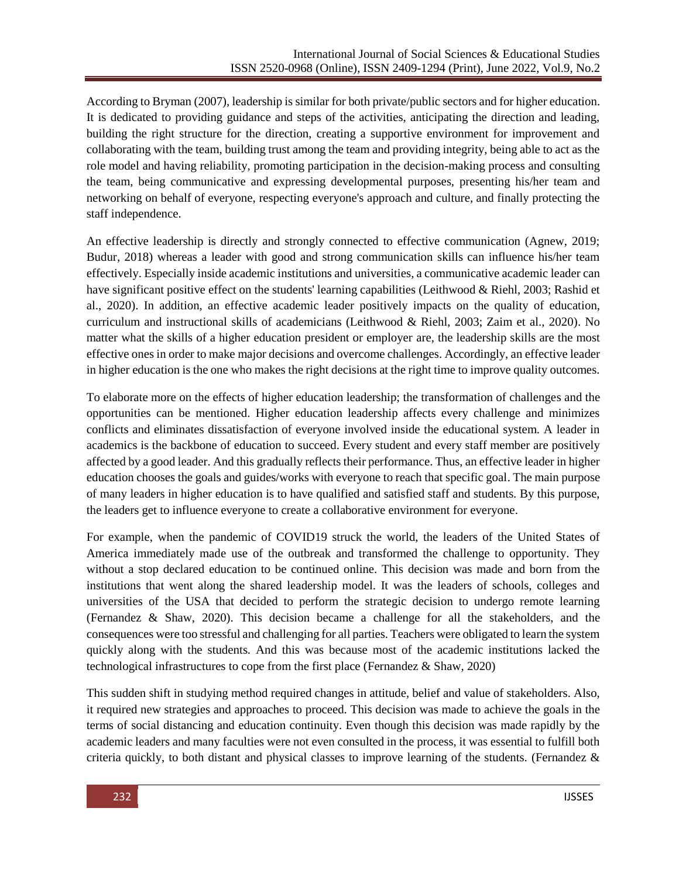According to Bryman (2007), leadership is similar for both private/public sectors and for higher education. It is dedicated to providing guidance and steps of the activities, anticipating the direction and leading, building the right structure for the direction, creating a supportive environment for improvement and collaborating with the team, building trust among the team and providing integrity, being able to act as the role model and having reliability, promoting participation in the decision-making process and consulting the team, being communicative and expressing developmental purposes, presenting his/her team and networking on behalf of everyone, respecting everyone's approach and culture, and finally protecting the staff independence.

An effective leadership is directly and strongly connected to effective communication (Agnew, 2019; Budur, 2018) whereas a leader with good and strong communication skills can influence his/her team effectively. Especially inside academic institutions and universities, a communicative academic leader can have significant positive effect on the students' learning capabilities (Leithwood & Riehl, 2003; Rashid et al., 2020). In addition, an effective academic leader positively impacts on the quality of education, curriculum and instructional skills of academicians (Leithwood & Riehl, 2003; Zaim et al., 2020). No matter what the skills of a higher education president or employer are, the leadership skills are the most effective ones in order to make major decisions and overcome challenges. Accordingly, an effective leader in higher education is the one who makes the right decisions at the right time to improve quality outcomes.

To elaborate more on the effects of higher education leadership; the transformation of challenges and the opportunities can be mentioned. Higher education leadership affects every challenge and minimizes conflicts and eliminates dissatisfaction of everyone involved inside the educational system. A leader in academics is the backbone of education to succeed. Every student and every staff member are positively affected by a good leader. And this gradually reflects their performance. Thus, an effective leader in higher education chooses the goals and guides/works with everyone to reach that specific goal. The main purpose of many leaders in higher education is to have qualified and satisfied staff and students. By this purpose, the leaders get to influence everyone to create a collaborative environment for everyone.

For example, when the pandemic of COVID19 struck the world, the leaders of the United States of America immediately made use of the outbreak and transformed the challenge to opportunity. They without a stop declared education to be continued online. This decision was made and born from the institutions that went along the shared leadership model. It was the leaders of schools, colleges and universities of the USA that decided to perform the strategic decision to undergo remote learning (Fernandez & Shaw, 2020). This decision became a challenge for all the stakeholders, and the consequences were too stressful and challenging for all parties. Teachers were obligated to learn the system quickly along with the students. And this was because most of the academic institutions lacked the technological infrastructures to cope from the first place (Fernandez & Shaw, 2020)

This sudden shift in studying method required changes in attitude, belief and value of stakeholders. Also, it required new strategies and approaches to proceed. This decision was made to achieve the goals in the terms of social distancing and education continuity. Even though this decision was made rapidly by the academic leaders and many faculties were not even consulted in the process, it was essential to fulfill both criteria quickly, to both distant and physical classes to improve learning of the students. (Fernandez  $\&$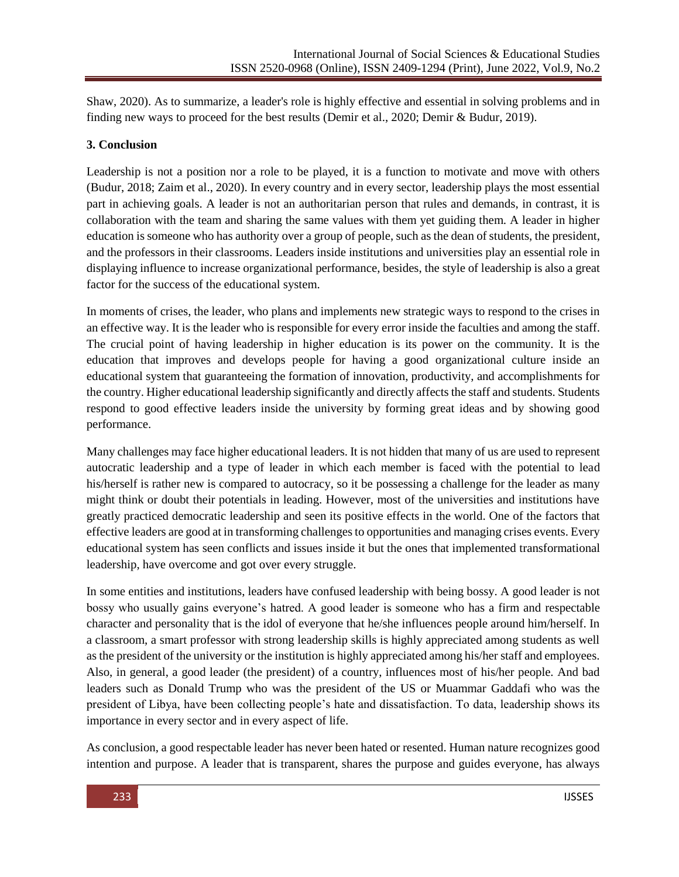Shaw, 2020). As to summarize, a leader's role is highly effective and essential in solving problems and in finding new ways to proceed for the best results (Demir et al., 2020; Demir & Budur, 2019).

### **3. Conclusion**

Leadership is not a position nor a role to be played, it is a function to motivate and move with others (Budur, 2018; Zaim et al., 2020). In every country and in every sector, leadership plays the most essential part in achieving goals. A leader is not an authoritarian person that rules and demands, in contrast, it is collaboration with the team and sharing the same values with them yet guiding them. A leader in higher education is someone who has authority over a group of people, such as the dean of students, the president, and the professors in their classrooms. Leaders inside institutions and universities play an essential role in displaying influence to increase organizational performance, besides, the style of leadership is also a great factor for the success of the educational system.

In moments of crises, the leader, who plans and implements new strategic ways to respond to the crises in an effective way. It is the leader who is responsible for every error inside the faculties and among the staff. The crucial point of having leadership in higher education is its power on the community. It is the education that improves and develops people for having a good organizational culture inside an educational system that guaranteeing the formation of innovation, productivity, and accomplishments for the country. Higher educational leadership significantly and directly affects the staff and students. Students respond to good effective leaders inside the university by forming great ideas and by showing good performance.

Many challenges may face higher educational leaders. It is not hidden that many of us are used to represent autocratic leadership and a type of leader in which each member is faced with the potential to lead his/herself is rather new is compared to autocracy, so it be possessing a challenge for the leader as many might think or doubt their potentials in leading. However, most of the universities and institutions have greatly practiced democratic leadership and seen its positive effects in the world. One of the factors that effective leaders are good at in transforming challenges to opportunities and managing crises events. Every educational system has seen conflicts and issues inside it but the ones that implemented transformational leadership, have overcome and got over every struggle.

In some entities and institutions, leaders have confused leadership with being bossy. A good leader is not bossy who usually gains everyone's hatred. A good leader is someone who has a firm and respectable character and personality that is the idol of everyone that he/she influences people around him/herself. In a classroom, a smart professor with strong leadership skills is highly appreciated among students as well as the president of the university or the institution is highly appreciated among his/her staff and employees. Also, in general, a good leader (the president) of a country, influences most of his/her people. And bad leaders such as Donald Trump who was the president of the US or Muammar Gaddafi who was the president of Libya, have been collecting people's hate and dissatisfaction. To data, leadership shows its importance in every sector and in every aspect of life.

As conclusion, a good respectable leader has never been hated or resented. Human nature recognizes good intention and purpose. A leader that is transparent, shares the purpose and guides everyone, has always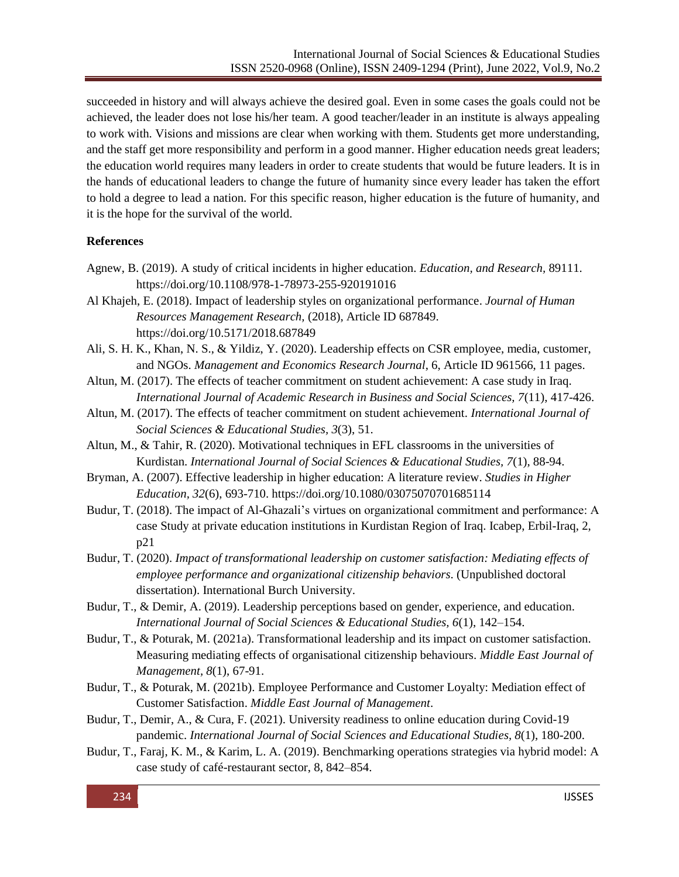succeeded in history and will always achieve the desired goal. Even in some cases the goals could not be achieved, the leader does not lose his/her team. A good teacher/leader in an institute is always appealing to work with. Visions and missions are clear when working with them. Students get more understanding, and the staff get more responsibility and perform in a good manner. Higher education needs great leaders; the education world requires many leaders in order to create students that would be future leaders. It is in the hands of educational leaders to change the future of humanity since every leader has taken the effort to hold a degree to lead a nation. For this specific reason, higher education is the future of humanity, and it is the hope for the survival of the world.

#### **References**

- Agnew, B. (2019). A study of critical incidents in higher education. *Education, and Research,* 89111. https://doi.org/10.1108/978-1-78973-255-920191016
- Al Khajeh, E. (2018). Impact of leadership styles on organizational performance. *Journal of Human Resources Management Research,* (2018), Article ID 687849. https://doi.org/10.5171/2018.687849
- Ali, S. H. K., Khan, N. S., & Yildiz, Y. (2020). Leadership effects on CSR employee, media, customer, and NGOs. *Management and Economics Research Journal*, 6, Article ID 961566, 11 pages.
- Altun, M. (2017). The effects of teacher commitment on student achievement: A case study in Iraq. *International Journal of Academic Research in Business and Social Sciences, 7*(11), 417-426.
- Altun, M. (2017). The effects of teacher commitment on student achievement. *International Journal of Social Sciences & Educational Studies, 3*(3), 51.
- Altun, M., & Tahir, R. (2020). Motivational techniques in EFL classrooms in the universities of Kurdistan. *International Journal of Social Sciences & Educational Studies, 7*(1), 88-94.
- Bryman, A. (2007). Effective leadership in higher education: A literature review. *Studies in Higher Education, 32*(6), 693-710. https://doi.org/10.1080/03075070701685114
- Budur, T. (2018). The impact of Al-Ghazali's virtues on organizational commitment and performance: A case Study at private education institutions in Kurdistan Region of Iraq. Icabep, Erbil-Iraq, 2, p21
- Budur, T. (2020). *Impact of transformational leadership on customer satisfaction: Mediating effects of employee performance and organizational citizenship behaviors*. (Unpublished doctoral dissertation). International Burch University.
- Budur, T., & Demir, A. (2019). Leadership perceptions based on gender, experience, and education. *International Journal of Social Sciences & Educational Studies, 6*(1), 142–154.
- Budur, T., & Poturak, M. (2021a). Transformational leadership and its impact on customer satisfaction. Measuring mediating effects of organisational citizenship behaviours. *Middle East Journal of Management, 8*(1), 67-91.
- Budur, T., & Poturak, M. (2021b). Employee Performance and Customer Loyalty: Mediation effect of Customer Satisfaction. *Middle East Journal of Management*.
- Budur, T., Demir, A., & Cura, F. (2021). University readiness to online education during Covid-19 pandemic. *International Journal of Social Sciences and Educational Studies, 8*(1), 180-200.
- Budur, T., Faraj, K. M., & Karim, L. A. (2019). Benchmarking operations strategies via hybrid model: A case study of café-restaurant sector, 8, 842–854.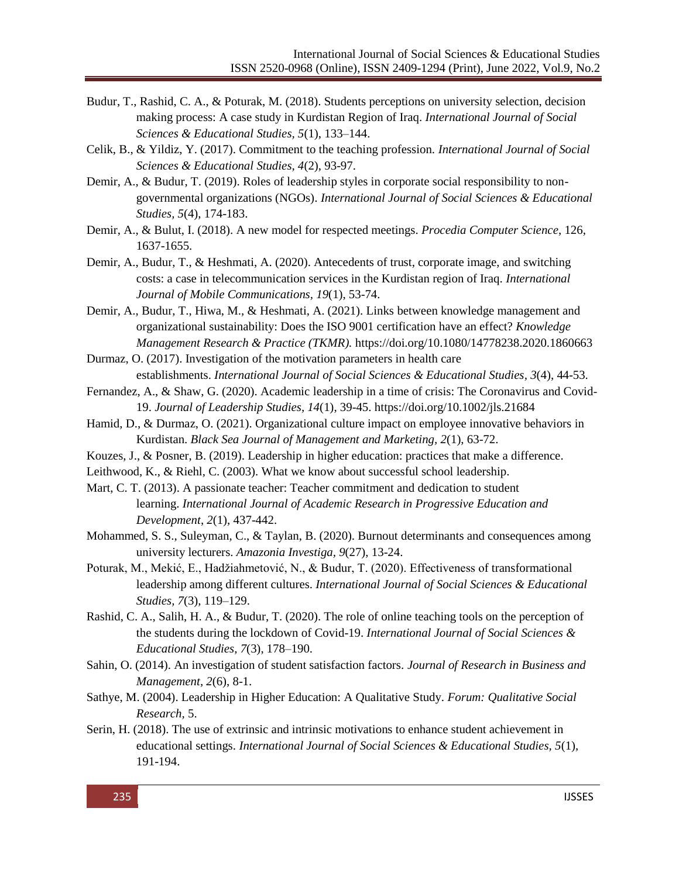- Budur, T., Rashid, C. A., & Poturak, M. (2018). Students perceptions on university selection, decision making process: A case study in Kurdistan Region of Iraq. *International Journal of Social Sciences & Educational Studies, 5*(1), 133–144.
- Celik, B., & Yildiz, Y. (2017). Commitment to the teaching profession. *International Journal of Social Sciences & Educational Studies, 4*(2), 93-97.
- Demir, A., & Budur, T. (2019). Roles of leadership styles in corporate social responsibility to nongovernmental organizations (NGOs). *International Journal of Social Sciences & Educational Studies, 5*(4), 174-183.
- Demir, A., & Bulut, I. (2018). A new model for respected meetings. *Procedia Computer Science*, 126, 1637-1655.
- Demir, A., Budur, T., & Heshmati, A. (2020). Antecedents of trust, corporate image, and switching costs: a case in telecommunication services in the Kurdistan region of Iraq. *International Journal of Mobile Communications, 19*(1), 53-74.
- Demir, A., Budur, T., Hiwa, M., & Heshmati, A. (2021). Links between knowledge management and organizational sustainability: Does the ISO 9001 certification have an effect? *Knowledge Management Research & Practice (TKMR).* https://doi.org/10.1080/14778238.2020.1860663
- Durmaz, O. (2017). Investigation of the motivation parameters in health care establishments. *International Journal of Social Sciences & Educational Studies, 3*(4), 44-53.
- Fernandez, A., & Shaw, G. (2020). Academic leadership in a time of crisis: The Coronavirus and Covid‐ 19. *Journal of Leadership Studies, 14*(1), 39-45. https://doi.org/10.1002/jls.21684
- Hamid, D., & Durmaz, O. (2021). Organizational culture impact on employee innovative behaviors in Kurdistan. *Black Sea Journal of Management and Marketing, 2*(1), 63-72.
- Kouzes, J., & Posner, B. (2019). Leadership in higher education: practices that make a difference.
- Leithwood, K., & Riehl, C. (2003). What we know about successful school leadership.
- Mart, C. T. (2013). A passionate teacher: Teacher commitment and dedication to student learning. *International Journal of Academic Research in Progressive Education and Development*, *2*(1), 437-442.
- Mohammed, S. S., Suleyman, C., & Taylan, B. (2020). Burnout determinants and consequences among university lecturers. *Amazonia Investiga, 9*(27), 13-24.
- Poturak, M., Mekić, E., Hadžiahmetović, N., & Budur, T. (2020). Effectiveness of transformational leadership among different cultures. *International Journal of Social Sciences & Educational Studies, 7*(3), 119–129.
- Rashid, C. A., Salih, H. A., & Budur, T. (2020). The role of online teaching tools on the perception of the students during the lockdown of Covid-19. *International Journal of Social Sciences & Educational Studies, 7*(3), 178–190.
- Sahin, O. (2014). An investigation of student satisfaction factors. *Journal of Research in Business and Management, 2*(6), 8-1.
- Sathye, M. (2004). Leadership in Higher Education: A Qualitative Study. *Forum: Qualitative Social Research,* 5.
- Serin, H. (2018). The use of extrinsic and intrinsic motivations to enhance student achievement in educational settings. *International Journal of Social Sciences & Educational Studies, 5*(1), 191-194.